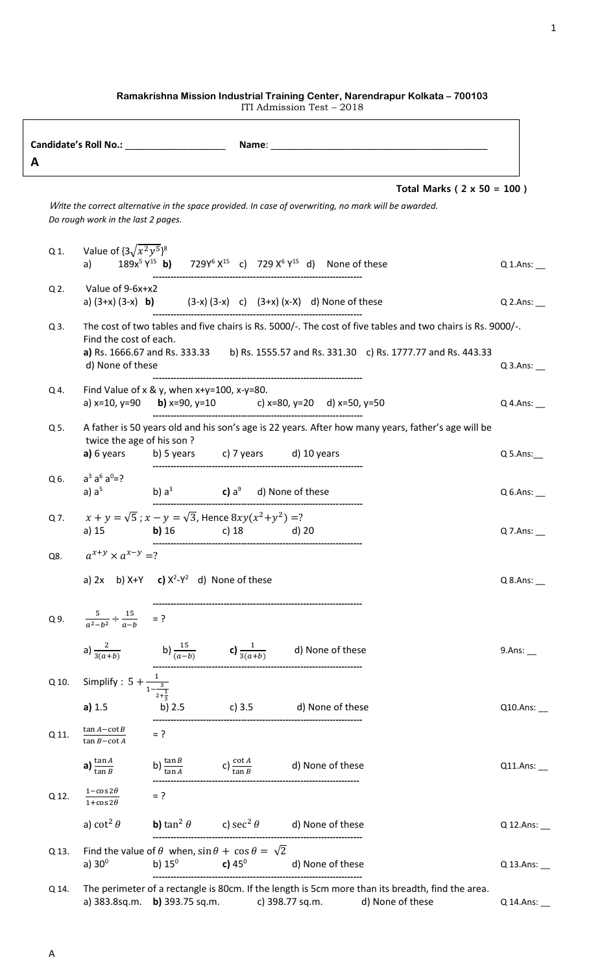## **Ramakrishna Mission Industrial Training Center, Narendrapur Kolkata – 700103** ITI Admission Test – 2018

| A     | Candidate's Roll No.: _____________________                                   |                 |                                                                                                      |                                                                                                       |                                                                                                             |                           |
|-------|-------------------------------------------------------------------------------|-----------------|------------------------------------------------------------------------------------------------------|-------------------------------------------------------------------------------------------------------|-------------------------------------------------------------------------------------------------------------|---------------------------|
|       |                                                                               |                 |                                                                                                      |                                                                                                       | Total Marks ( $2 \times 50 = 100$ )                                                                         |                           |
|       | Do rough work in the last 2 pages.                                            |                 |                                                                                                      | Write the correct alternative in the space provided. In case of overwriting, no mark will be awarded. |                                                                                                             |                           |
| Q 1.  | Value of $\{3\sqrt{x^2y^5}\}$ <sup>8</sup>                                    |                 |                                                                                                      | a) $189x^5Y^{15}$ b) $729Y^6X^{15}$ c) $729X^6Y^{15}$ d) None of these                                |                                                                                                             | $Q$ 1. Ans: $\frac{1}{2}$ |
| Q 2.  | Value of 9-6x+x2                                                              |                 |                                                                                                      | a) $(3+x)$ $(3-x)$ <b>b)</b> $(3-x)$ $(3-x)$ <b>c</b> ) $(3+x)$ $(x-X)$ <b>d</b> ) None of these      |                                                                                                             | $Q$ 2. Ans: $\_\_$        |
| Q3.   | Find the cost of each.                                                        |                 |                                                                                                      |                                                                                                       | The cost of two tables and five chairs is Rs. 5000/-. The cost of five tables and two chairs is Rs. 9000/-. |                           |
|       | d) None of these                                                              |                 |                                                                                                      |                                                                                                       | a) Rs. 1666.67 and Rs. 333.33 b) Rs. 1555.57 and Rs. 331.30 c) Rs. 1777.77 and Rs. 443.33                   | $Q$ 3. Ans: $\_\_$        |
| Q 4.  | Find Value of x & y, when $x+y=100$ , $x-y=80$ .                              |                 |                                                                                                      | a) $x=10$ , $y=90$ <b>b)</b> $x=90$ , $y=10$ <b>c</b> ) $x=80$ , $y=20$ <b>d</b> ) $x=50$ , $y=50$    |                                                                                                             | Q 4.Ans: $\frac{1}{2}$    |
| Q 5.  | twice the age of his son?                                                     |                 | a) $6 \text{ years}$ b) $5 \text{ years}$ c) $7 \text{ years}$ d) $10 \text{ years}$                 |                                                                                                       | A father is 50 years old and his son's age is 22 years. After how many years, father's age will be          | $Q$ 5.Ans:                |
| Q 6.  | $a^3 a^6 a^0 = ?$                                                             |                 | a) $a^5$ b) $a^3$ c) $a^9$ d) None of these                                                          |                                                                                                       |                                                                                                             | $Q$ 6.Ans: $\_\_$         |
| Q 7.  | $x + y = \sqrt{5}$ ; $x - y = \sqrt{3}$ , Hence $8xy(x^2+y^2) = ?$<br>a) $15$ |                 | <b>b)</b> 16 c) 18 d) 20                                                                             |                                                                                                       |                                                                                                             | $Q$ 7. Ans: $\_\_$        |
| Q8.   | $a^{x+y} \times a^{x-y} = ?$                                                  |                 |                                                                                                      |                                                                                                       |                                                                                                             |                           |
|       | a) $2x$ b) $X+Y$ c) $X^2-Y^2$ d) None of these                                |                 |                                                                                                      |                                                                                                       |                                                                                                             | $Q$ $8.A$ ns:             |
|       | Q 9. $\frac{5}{a^2-h^2} \div \frac{15}{a-h} = ?$                              |                 |                                                                                                      |                                                                                                       |                                                                                                             |                           |
|       |                                                                               |                 |                                                                                                      | a) $\frac{2}{3(a+b)}$ b) $\frac{15}{(a-b)}$ c) $\frac{1}{3(a+b)}$ d) None of these                    |                                                                                                             | 9.Ans:                    |
|       | Q 10. Simplify : $5 + \frac{1}{1 - \frac{3}{2 + \frac{1}{3}}}$                |                 |                                                                                                      |                                                                                                       |                                                                                                             |                           |
|       | a) 1.5                                                                        |                 |                                                                                                      | b) $2.5$ c) $3.5$ d) None of these                                                                    |                                                                                                             | Q10.Ans: $\_\_$           |
| Q 11. | $\frac{\tan A - \cot B}{\tan B - \cot A}$                                     | $= ?$           |                                                                                                      |                                                                                                       |                                                                                                             |                           |
|       | a) $\frac{\tan A}{\tan B}$                                                    |                 |                                                                                                      | b) $\frac{\tan B}{\tan A}$ c) $\frac{\cot A}{\tan B}$ d) None of these                                |                                                                                                             | $Q11.A$ ns: $\_\_$        |
| Q 12. | $\frac{1-\cos 2\theta}{1+\cos 2\theta}$                                       | $= ?$           |                                                                                                      |                                                                                                       |                                                                                                             |                           |
|       | a) $\cot^2\theta$                                                             |                 |                                                                                                      | <b>b)</b> $\tan^2 \theta$ <b>c</b> ) $\sec^2 \theta$ <b>d)</b> None of these                          |                                                                                                             | Q 12.Ans: __              |
| Q 13. | a) $30^0$                                                                     | b) $15^{\circ}$ | Find the value of $\theta$ when, $\sin \theta + \cos \theta = \sqrt{2}$<br><b>c)</b> 45 <sup>0</sup> | d) None of these                                                                                      |                                                                                                             | Q 13.Ans:                 |

Q 14. The perimeter of a rectangle is 80cm. If the length is 5cm more than its breadth, find the area. a) 383.8sq.m. **b)** 393.75 sq.m. c) 398.77 sq.m. d) None of these Q 14.Ans: \_\_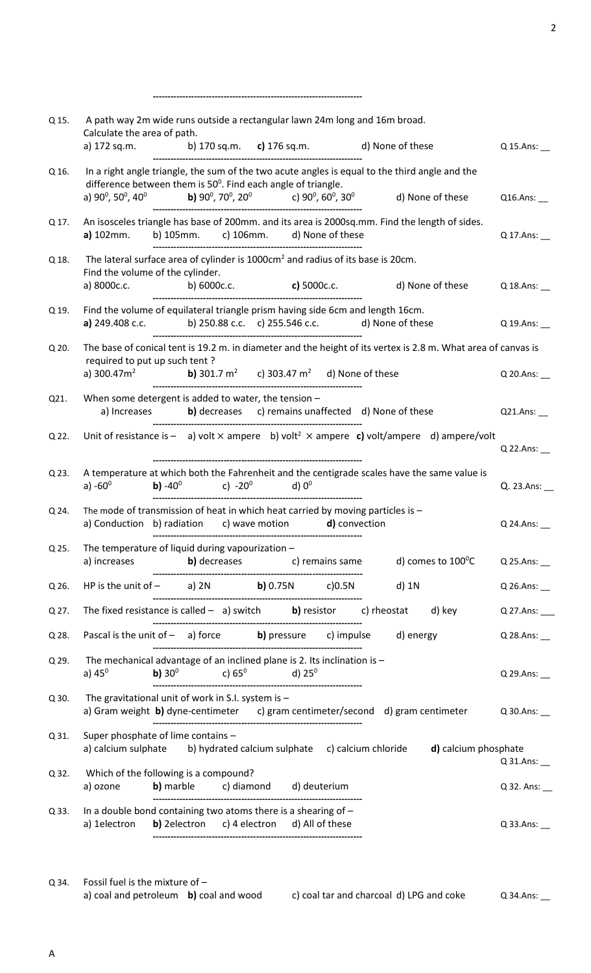| Q 15. | A path way 2m wide runs outside a rectangular lawn 24m long and 16m broad.<br>Calculate the area of path.                                                                                                                                                                                         |                                                                  |                                                                          |       |                                                                                                                    |                            |
|-------|---------------------------------------------------------------------------------------------------------------------------------------------------------------------------------------------------------------------------------------------------------------------------------------------------|------------------------------------------------------------------|--------------------------------------------------------------------------|-------|--------------------------------------------------------------------------------------------------------------------|----------------------------|
|       | a) 172 sq.m.                                                                                                                                                                                                                                                                                      |                                                                  | b) $170$ sq.m. c) $176$ sq.m. d) None of these                           |       |                                                                                                                    | Q 15.Ans: $\qquad \qquad$  |
| Q 16. | In a right angle triangle, the sum of the two acute angles is equal to the third angle and the<br>difference between them is $50^0$ . Find each angle of triangle.<br>a) $90^0$ , $50^0$ , $40^0$ <b>b)</b> $90^0$ , $70^0$ , $20^0$ <b>c</b> ) $90^0$ , $60^0$ , $30^0$ <b>d</b> ) None of these |                                                                  |                                                                          |       |                                                                                                                    | Q16.Ans:                   |
| Q 17. | An isosceles triangle has base of 200mm. and its area is 2000sq.mm. Find the length of sides.<br>$a)$ 102 $mm$ .                                                                                                                                                                                  |                                                                  | b) 105mm. c) 106mm. d) None of these                                     |       |                                                                                                                    | Q 17.Ans: __               |
| Q 18. | The lateral surface area of cylinder is 1000cm <sup>2</sup> and radius of its base is 20cm.<br>Find the volume of the cylinder.<br>a) 8000c.c.                                                                                                                                                    |                                                                  |                                                                          |       | b) 6000c.c. $\qquad \qquad c)$ 5000c.c. $\qquad \qquad$ d) None of these                                           | Q 18.Ans: $\qquad$         |
|       |                                                                                                                                                                                                                                                                                                   |                                                                  |                                                                          |       |                                                                                                                    |                            |
| Q 19. | Find the volume of equilateral triangle prism having side 6cm and length 16cm.<br>a) 249.408 c.c. b) 250.88 c.c. c) 255.546 c.c. d) None of these                                                                                                                                                 |                                                                  |                                                                          |       |                                                                                                                    | Q 19.Ans:                  |
| Q 20. |                                                                                                                                                                                                                                                                                                   |                                                                  |                                                                          |       | The base of conical tent is 19.2 m. in diameter and the height of its vertex is 2.8 m. What area of canvas is      |                            |
|       | required to put up such tent?<br>a) $300.47m2$                                                                                                                                                                                                                                                    |                                                                  | <b>b)</b> 301.7 m <sup>2</sup> c) 303.47 m <sup>2</sup> d) None of these |       |                                                                                                                    | $Q$ 20. Ans: $\_\_$        |
| Q21.  | When some detergent is added to water, the tension -                                                                                                                                                                                                                                              |                                                                  | a) Increases <b>b)</b> decreases c) remains unaffected d) None of these  |       |                                                                                                                    | Q21.Ans:                   |
| Q 22. |                                                                                                                                                                                                                                                                                                   |                                                                  |                                                                          |       | Unit of resistance is - a) volt $\times$ ampere b) volt <sup>2</sup> $\times$ ampere c) volt/ampere d) ampere/volt | $Q$ 22. Ans: $\_\_$        |
| Q 23. | A temperature at which both the Fahrenheit and the centigrade scales have the same value is<br>a) $-60^{\circ}$                                                                                                                                                                                   | <b>b)</b> -40 <sup>0</sup> c) -20 <sup>0</sup> d) 0 <sup>0</sup> |                                                                          |       |                                                                                                                    | Q. 23.Ans: __              |
| Q 24. | The mode of transmission of heat in which heat carried by moving particles is $-$<br>a) Conduction b) radiation c) wave motion $\mathbf d$ ) convection                                                                                                                                           |                                                                  |                                                                          |       |                                                                                                                    | $Q$ 24. Ans: $\frac{Q}{Q}$ |
| Q 25. | The temperature of liquid during vapourization -                                                                                                                                                                                                                                                  |                                                                  |                                                                          |       |                                                                                                                    |                            |
|       | a) increases <b>b)</b> decreases <b>c</b> ) remains same d) comes to $100^{\circ}$ C                                                                                                                                                                                                              |                                                                  |                                                                          |       |                                                                                                                    | $Q$ 25. Ans: $\_\_$        |
| Q 26. | HP is the unit of $-$ a) 2N b) 0.75N c)0.5N                                                                                                                                                                                                                                                       |                                                                  |                                                                          | d) 1N |                                                                                                                    | $Q$ 26.Ans: $\_\_$         |
| Q 27. | The fixed resistance is called $-$ a) switch <b>b</b> ) resistor c) rheostat d) key                                                                                                                                                                                                               |                                                                  |                                                                          |       |                                                                                                                    | Q 27.Ans: ____             |
| Q 28. | Pascal is the unit of $-$ a) force <b>b)</b> pressure c) impulse d) energy                                                                                                                                                                                                                        |                                                                  |                                                                          |       |                                                                                                                    | $Q$ 28. Ans: $\_\_$        |
| Q 29. | The mechanical advantage of an inclined plane is 2. Its inclination is $-$<br>a) $45^{\circ}$                                                                                                                                                                                                     | <b>b)</b> 30 <sup>0</sup> c) $65^0$ d) $25^0$                    |                                                                          |       |                                                                                                                    | Q 29.Ans: __               |
| Q 30. | The gravitational unit of work in S.I. system is -                                                                                                                                                                                                                                                |                                                                  |                                                                          |       | a) Gram weight b) dyne-centimeter c) gram centimeter/second d) gram centimeter                                     | Q 30.Ans: __               |
| Q 31. | Super phosphate of lime contains -                                                                                                                                                                                                                                                                |                                                                  |                                                                          |       | a) calcium sulphate b) hydrated calcium sulphate c) calcium chloride <b>d</b> ) calcium phosphate                  |                            |
| Q 32. | Which of the following is a compound?                                                                                                                                                                                                                                                             |                                                                  |                                                                          |       |                                                                                                                    | $Q$ 31. Ans: $\_\_$        |
|       | a) ozone                                                                                                                                                                                                                                                                                          | <b>b)</b> marble c) diamond d) deuterium                         |                                                                          |       |                                                                                                                    | $Q$ 32. Ans: $\_$          |
| Q 33. | In a double bond containing two atoms there is a shearing of $-$<br>a) 1electron                                                                                                                                                                                                                  | <b>b)</b> 2electron c) 4 electron d) All of these                |                                                                          |       |                                                                                                                    | Q 33.Ans: __               |

**-----------------------------------------------------------------------**

Q 34. Fossil fuel is the mixture of – a) coal and petroleum **b**) coal and wood c) coal tar and charcoal d) LPG and coke Q 34.Ans: